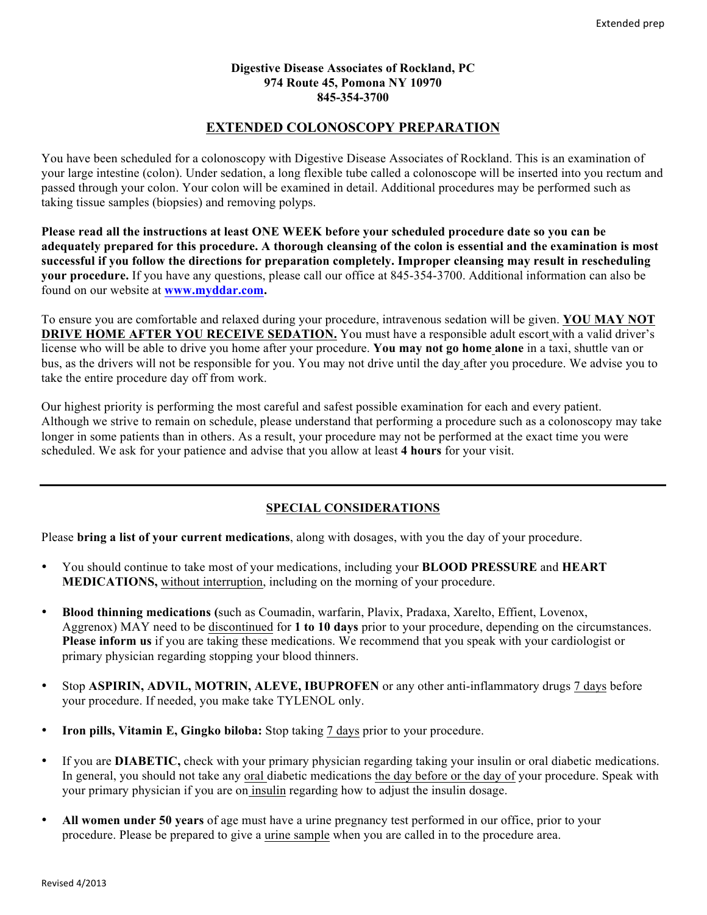#### **Digestive Disease Associates of Rockland, PC 974 Route 45, Pomona NY 10970 845-354-3700**

# **EXTENDED COLONOSCOPY PREPARATION**

You have been scheduled for a colonoscopy with Digestive Disease Associates of Rockland. This is an examination of your large intestine (colon). Under sedation, a long flexible tube called a colonoscope will be inserted into you rectum and passed through your colon. Your colon will be examined in detail. Additional procedures may be performed such as taking tissue samples (biopsies) and removing polyps.

**Please read all the instructions at least ONE WEEK before your scheduled procedure date so you can be adequately prepared for this procedure. A thorough cleansing of the colon is essential and the examination is most successful if you follow the directions for preparation completely. Improper cleansing may result in rescheduling your procedure.** If you have any questions, please call our office at 845-354-3700. Additional information can also be found on our website at **www.myddar.com.**

To ensure you are comfortable and relaxed during your procedure, intravenous sedation will be given. **YOU MAY NOT DRIVE HOME AFTER YOU RECEIVE SEDATION.** You must have a responsible adult escort with a valid driver's license who will be able to drive you home after your procedure. **You may not go home alone** in a taxi, shuttle van or bus, as the drivers will not be responsible for you. You may not drive until the day after you procedure. We advise you to take the entire procedure day off from work.

Our highest priority is performing the most careful and safest possible examination for each and every patient. Although we strive to remain on schedule, please understand that performing a procedure such as a colonoscopy may take longer in some patients than in others. As a result, your procedure may not be performed at the exact time you were scheduled. We ask for your patience and advise that you allow at least **4 hours** for your visit.

# **SPECIAL CONSIDERATIONS**

Please **bring a list of your current medications**, along with dosages, with you the day of your procedure.

- You should continue to take most of your medications, including your **BLOOD PRESSURE** and **HEART MEDICATIONS,** without interruption, including on the morning of your procedure.
- **Blood thinning medications (**such as Coumadin, warfarin, Plavix, Pradaxa, Xarelto, Effient, Lovenox, Aggrenox) MAY need to be discontinued for **1 to 10 days** prior to your procedure, depending on the circumstances. **Please inform us** if you are taking these medications. We recommend that you speak with your cardiologist or primary physician regarding stopping your blood thinners.
- Stop **ASPIRIN, ADVIL, MOTRIN, ALEVE, IBUPROFEN** or any other anti-inflammatory drugs 7 days before your procedure. If needed, you make take TYLENOL only.
- **Iron pills, Vitamin E, Gingko biloba:** Stop taking 7 days prior to your procedure.
- If you are **DIABETIC,** check with your primary physician regarding taking your insulin or oral diabetic medications. In general, you should not take any oral diabetic medications the day before or the day of your procedure. Speak with your primary physician if you are on insulin regarding how to adjust the insulin dosage.
- **All women under 50 years** of age must have a urine pregnancy test performed in our office, prior to your procedure. Please be prepared to give a urine sample when you are called in to the procedure area.